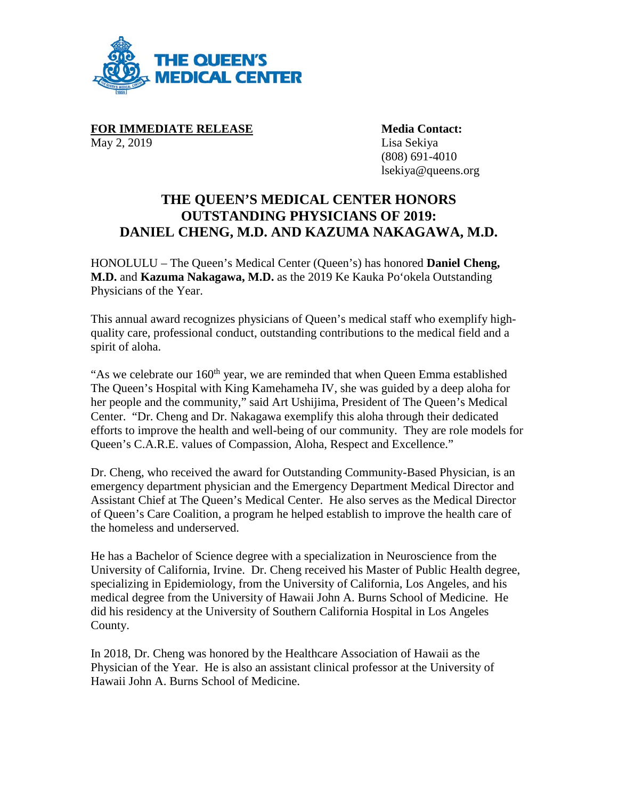

**FOR IMMEDIATE RELEASE Media Contact:** May 2, 2019 Lisa Sekiya

(808) 691-4010 lsekiya@queens.org

## **THE QUEEN'S MEDICAL CENTER HONORS OUTSTANDING PHYSICIANS OF 2019: DANIEL CHENG, M.D. AND KAZUMA NAKAGAWA, M.D.**

HONOLULU – The Queen's Medical Center (Queen's) has honored **Daniel Cheng, M.D.** and **Kazuma Nakagawa, M.D.** as the 2019 Ke Kauka Po'okela Outstanding Physicians of the Year.

This annual award recognizes physicians of Queen's medical staff who exemplify highquality care, professional conduct, outstanding contributions to the medical field and a spirit of aloha.

"As we celebrate our  $160<sup>th</sup>$  year, we are reminded that when Queen Emma established The Queen's Hospital with King Kamehameha IV, she was guided by a deep aloha for her people and the community," said Art Ushijima, President of The Queen's Medical Center. "Dr. Cheng and Dr. Nakagawa exemplify this aloha through their dedicated efforts to improve the health and well-being of our community. They are role models for Queen's C.A.R.E. values of Compassion, Aloha, Respect and Excellence."

Dr. Cheng, who received the award for Outstanding Community-Based Physician, is an emergency department physician and the Emergency Department Medical Director and Assistant Chief at The Queen's Medical Center. He also serves as the Medical Director of Queen's Care Coalition, a program he helped establish to improve the health care of the homeless and underserved.

He has a Bachelor of Science degree with a specialization in Neuroscience from the University of California, Irvine. Dr. Cheng received his Master of Public Health degree, specializing in Epidemiology, from the University of California, Los Angeles, and his medical degree from the University of Hawaii John A. Burns School of Medicine. He did his residency at the University of Southern California Hospital in Los Angeles County.

In 2018, Dr. Cheng was honored by the Healthcare Association of Hawaii as the Physician of the Year. He is also an assistant clinical professor at the University of Hawaii John A. Burns School of Medicine.